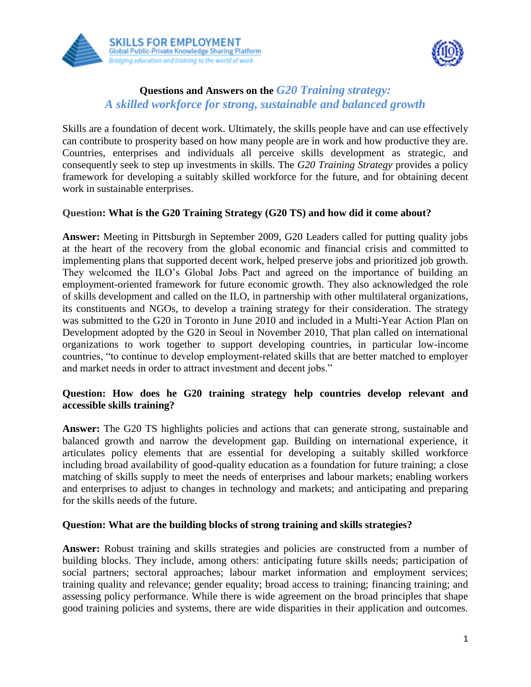



# **Questions and Answers on the** *G20 Training strategy: A skilled workforce for strong, sustainable and balanced growth*

Skills are a foundation of decent work. Ultimately, the skills people have and can use effectively can contribute to prosperity based on how many people are in work and how productive they are. Countries, enterprises and individuals all perceive skills development as strategic, and consequently seek to step up investments in skills. The *G20 Training Strategy* provides a policy framework for developing a suitably skilled workforce for the future, and for obtaining decent work in sustainable enterprises.

# **Question: What is the G20 Training Strategy (G20 TS) and how did it come about?**

**Answer:** Meeting in Pittsburgh in September 2009, G20 Leaders called for putting quality jobs at the heart of the recovery from the global economic and financial crisis and committed to implementing plans that supported decent work, helped preserve jobs and prioritized job growth. They welcomed the ILO's Global Jobs Pact and agreed on the importance of building an employment-oriented framework for future economic growth. They also acknowledged the role of skills development and called on the ILO, in partnership with other multilateral organizations, its constituents and NGOs, to develop a training strategy for their consideration. The strategy was submitted to the G20 in Toronto in June 2010 and included in a Multi-Year Action Plan on Development adopted by the G20 in Seoul in November 2010, That plan called on international organizations to work together to support developing countries, in particular low-income countries, "to continue to develop employment-related skills that are better matched to employer and market needs in order to attract investment and decent jobs."

# **Question: How does he G20 training strategy help countries develop relevant and accessible skills training?**

**Answer:** The G20 TS highlights policies and actions that can generate strong, sustainable and balanced growth and narrow the development gap. Building on international experience, it articulates policy elements that are essential for developing a suitably skilled workforce including broad availability of good-quality education as a foundation for future training; a close matching of skills supply to meet the needs of enterprises and labour markets; enabling workers and enterprises to adjust to changes in technology and markets; and anticipating and preparing for the skills needs of the future.

#### **Question: What are the building blocks of strong training and skills strategies?**

**Answer:** Robust training and skills strategies and policies are constructed from a number of building blocks. They include, among others: anticipating future skills needs; participation of social partners; sectoral approaches; labour market information and employment services; training quality and relevance; gender equality; broad access to training; financing training; and assessing policy performance. While there is wide agreement on the broad principles that shape good training policies and systems, there are wide disparities in their application and outcomes.